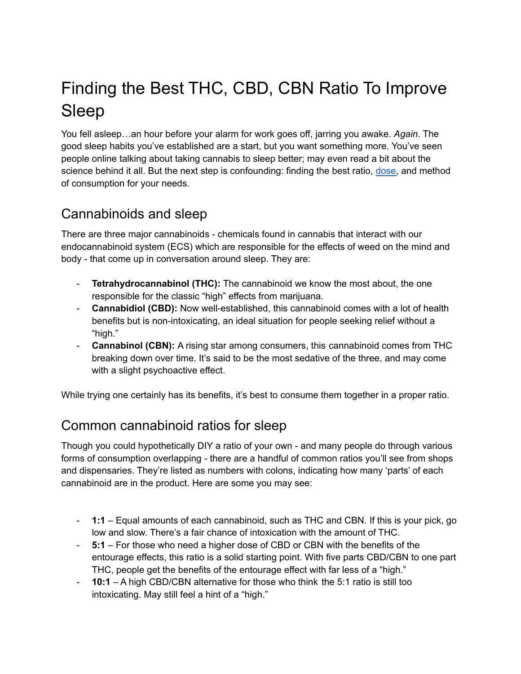# Finding the Best THC, CBD, CBN Ratio To Improve Sleep

You fell asleep…an hour before your alarm for work goes off, jarring you awake. *Again*. The good sleep habits you've established are a start, but you want something more. You've seen people online talking about taking cannabis to sleep better; may even read a bit about the science behind it all. But the next step is confounding: finding the best ratio, [dose,](https://pantryfoodco.com/blogs/news/how-much-cannabis-to-take-finding-the-right-edible-dosage-for-you) and method of consumption for your needs.

### Cannabinoids and sleep

There are three major cannabinoids - chemicals found in cannabis that interact with our endocannabinoid system (ECS) which are responsible for the effects of weed on the mind and body - that come up in conversation around sleep. They are:

- **Tetrahydrocannabinol (THC):** The cannabinoid we know the most about, the one responsible for the classic "high" effects from marijuana.
- **Cannabidiol (CBD):** Now well-established, this cannabinoid comes with a lot of health benefits but is non-intoxicating, an ideal situation for people seeking relief without a "high."
- **Cannabinol (CBN):** A rising star among consumers, this cannabinoid comes from THC breaking down over time. It's said to be the most sedative of the three, and may come with a slight psychoactive effect.

While trying one certainly has its benefits, it's best to consume them together in a proper ratio.

### Common cannabinoid ratios for sleep

Though you could hypothetically DIY a ratio of your own - and many people do through various forms of consumption overlapping - there are a handful of common ratios you'll see from shops and dispensaries. They're listed as numbers with colons, indicating how many 'parts' of each cannabinoid are in the product. Here are some you may see:

- **1:1** Equal amounts of each cannabinoid, such as THC and CBN. If this is your pick, go low and slow. There's a fair chance of intoxication with the amount of THC.
- **5:1** For those who need a higher dose of CBD or CBN with the benefits of the entourage effects, this ratio is a solid starting point. With five parts CBD/CBN to one part THC, people get the benefits of the entourage effect with far less of a "high."
- **10:1** A high CBD/CBN alternative for those who think the 5:1 ratio is still too intoxicating. May still feel a hint of a "high."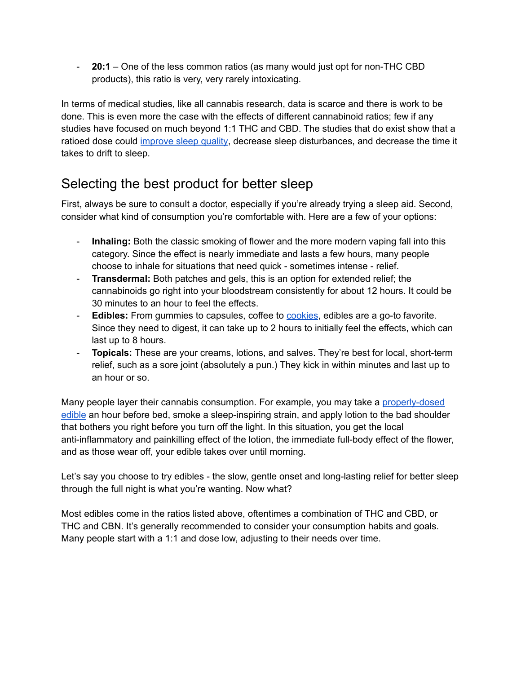- **20:1** – One of the less common ratios (as many would just opt for non-THC CBD products), this ratio is very, very rarely intoxicating.

In terms of medical studies, like all cannabis research, data is scarce and there is work to be done. This is even more the case with the effects of different cannabinoid ratios; few if any studies have focused on much beyond 1:1 THC and CBD. The studies that do exist show that a ratioed dose could [improve](https://doi.apa.org/doiLanding?doi=10.1037%2Fpha0000285) sleep quality, decrease sleep disturbances, and decrease the time it takes to drift to sleep.

## Selecting the best product for better sleep

First, always be sure to consult a doctor, especially if you're already trying a sleep aid. Second, consider what kind of consumption you're comfortable with. Here are a few of your options:

- **Inhaling:** Both the classic smoking of flower and the more modern vaping fall into this category. Since the effect is nearly immediate and lasts a few hours, many people choose to inhale for situations that need quick - sometimes intense - relief.
- **Transdermal:** Both patches and gels, this is an option for extended relief; the cannabinoids go right into your bloodstream consistently for about 12 hours. It could be 30 minutes to an hour to feel the effects.
- **Edibles:** From gummies to capsules, coffee to [cookies](https://pantryfoodco.com/blogs/healthy-cannabis-recipes/vegan-cannabis-peanut-butter-cookies-recipe), edibles are a go-to favorite. Since they need to digest, it can take up to 2 hours to initially feel the effects, which can last up to 8 hours.
- **Topicals:** These are your creams, lotions, and salves. They're best for local, short-term relief, such as a sore joint (absolutely a pun.) They kick in within minutes and last up to an hour or so.

Many people layer their cannabis consumption. For example, you may take a [properly-dosed](https://pantryfoodco.com/blogs/news/how-much-cannabis-to-take-finding-the-right-edible-dosage-for-you) [edible](https://pantryfoodco.com/blogs/news/how-much-cannabis-to-take-finding-the-right-edible-dosage-for-you) an hour before bed, smoke a sleep-inspiring strain, and apply lotion to the bad shoulder that bothers you right before you turn off the light. In this situation, you get the local anti-inflammatory and painkilling effect of the lotion, the immediate full-body effect of the flower, and as those wear off, your edible takes over until morning.

Let's say you choose to try edibles - the slow, gentle onset and long-lasting relief for better sleep through the full night is what you're wanting. Now what?

Most edibles come in the ratios listed above, oftentimes a combination of THC and CBD, or THC and CBN. It's generally recommended to consider your consumption habits and goals. Many people start with a 1:1 and dose low, adjusting to their needs over time.